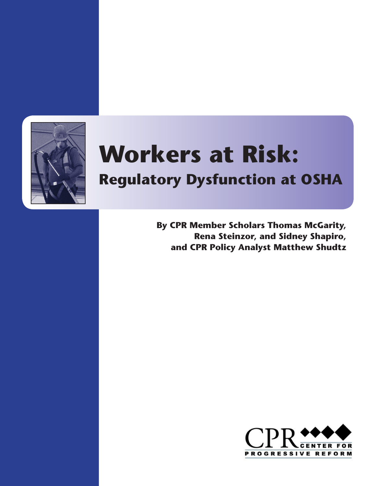

# **Workers at Risk:**

## **Regulatory Dysfunction at OSHA**

**By CPR Member Scholars Thomas McGarity, Rena Steinzor, and Sidney Shapiro, and CPR Policy Analyst Matthew Shudtz**

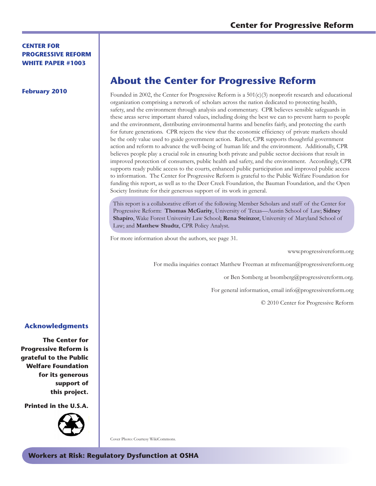#### **Center for Progressive Reform White Paper #1003**

#### **February 2010**

## **About the Center for Progressive Reform**

Founded in 2002, the Center for Progressive Reform is a  $501(c)(3)$  nonprofit research and educational organization comprising a network of scholars across the nation dedicated to protecting health, safety, and the environment through analysis and commentary. CPR believes sensible safeguards in these areas serve important shared values, including doing the best we can to prevent harm to people and the environment, distributing environmental harms and benefits fairly, and protecting the earth for future generations. CPR rejects the view that the economic efficiency of private markets should be the only value used to guide government action. Rather, CPR supports thoughtful government action and reform to advance the well-being of human life and the environment. Additionally, CPR believes people play a crucial role in ensuring both private and public sector decisions that result in improved protection of consumers, public health and safety, and the environment. Accordingly, CPR supports ready public access to the courts, enhanced public participation and improved public access to information. The Center for Progressive Reform is grateful to the Public Welfare Foundation for funding this report, as well as to the Deer Creek Foundation, the Bauman Foundation, and the Open Society Institute for their generous support of its work in general.

This report is a collaborative effort of the following Member Scholars and staff of the Center for Progressive Reform: **Thomas McGarity**, University of Texas—Austin School of Law; **Sidney Shapiro**, Wake Forest University Law School; **Rena Steinzor**, University of Maryland School of Law; and **Matthew Shudtz**, CPR Policy Analyst.

For more information about the authors, see page 31.

www.progressivereform.org

For media inquiries contact Matthew Freeman at mfreeman@progressivereform.org

or Ben Somberg at bsomberg@progressivereform.org.

For general information, email info@progressivereform.org

© 2010 Center for Progressive Reform

#### **Acknowledgments**

**The Center for Progressive Reform is grateful to the Public Welfare Foundation for its generous support of this project.** 

**Printed in the U.S.A.** 



Cover Photo: Courtesy WikiCommons.

**Workers at Risk: Regulatory Dysfunction at OSHA**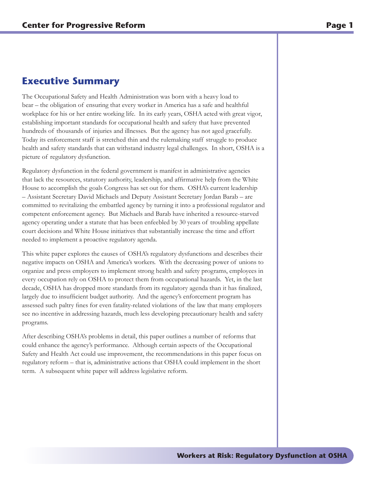## **Executive Summary**

The Occupational Safety and Health Administration was born with a heavy load to bear – the obligation of ensuring that every worker in America has a safe and healthful workplace for his or her entire working life. In its early years, OSHA acted with great vigor, establishing important standards for occupational health and safety that have prevented hundreds of thousands of injuries and illnesses. But the agency has not aged gracefully. Today its enforcement staff is stretched thin and the rulemaking staff struggle to produce health and safety standards that can withstand industry legal challenges. In short, OSHA is a picture of regulatory dysfunction.

Regulatory dysfunction in the federal government is manifest in administrative agencies that lack the resources, statutory authority, leadership, and affirmative help from the White House to accomplish the goals Congress has set out for them. OSHA's current leadership – Assistant Secretary David Michaels and Deputy Assistant Secretary Jordan Barab – are committed to revitalizing the embattled agency by turning it into a professional regulator and competent enforcement agency. But Michaels and Barab have inherited a resource-starved agency operating under a statute that has been enfeebled by 30 years of troubling appellate court decisions and White House initiatives that substantially increase the time and effort needed to implement a proactive regulatory agenda.

This white paper explores the causes of OSHA's regulatory dysfunctions and describes their negative impacts on OSHA and America's workers. With the decreasing power of unions to organize and press employers to implement strong health and safety programs, employees in every occupation rely on OSHA to protect them from occupational hazards. Yet, in the last decade, OSHA has dropped more standards from its regulatory agenda than it has finalized, largely due to insufficient budget authority. And the agency's enforcement program has assessed such paltry fines for even fatality-related violations of the law that many employers see no incentive in addressing hazards, much less developing precautionary health and safety programs.

After describing OSHA's problems in detail, this paper outlines a number of reforms that could enhance the agency's performance. Although certain aspects of the Occupational Safety and Health Act could use improvement, the recommendations in this paper focus on regulatory reform – that is, administrative actions that OSHA could implement in the short term. A subsequent white paper will address legislative reform.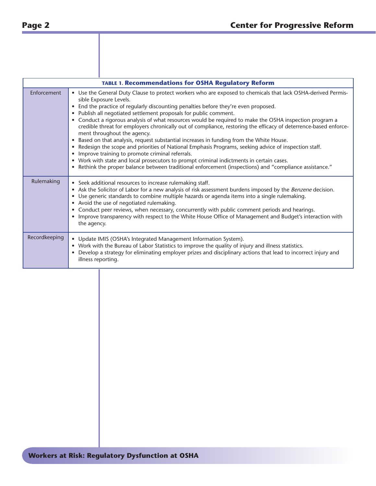| <b>TABLE 1. Recommendations for OSHA Regulatory Reform</b> |                    |                                                                                                                                                                                                                                                                                                                                                                                                                                                                                                                                                                                                                                                                                                                                                                                                                                                                                                                                                                                                                                  |  |  |  |
|------------------------------------------------------------|--------------------|----------------------------------------------------------------------------------------------------------------------------------------------------------------------------------------------------------------------------------------------------------------------------------------------------------------------------------------------------------------------------------------------------------------------------------------------------------------------------------------------------------------------------------------------------------------------------------------------------------------------------------------------------------------------------------------------------------------------------------------------------------------------------------------------------------------------------------------------------------------------------------------------------------------------------------------------------------------------------------------------------------------------------------|--|--|--|
| Enforcement                                                |                    | • Use the General Duty Clause to protect workers who are exposed to chemicals that lack OSHA-derived Permis-<br>sible Exposure Levels.<br>• End the practice of regularly discounting penalties before they're even proposed.<br>• Publish all negotiated settlement proposals for public comment.<br>• Conduct a rigorous analysis of what resources would be required to make the OSHA inspection program a<br>credible threat for employers chronically out of compliance, restoring the efficacy of deterrence-based enforce-<br>ment throughout the agency.<br>Based on that analysis, request substantial increases in funding from the White House.<br>• Redesign the scope and priorities of National Emphasis Programs, seeking advice of inspection staff.<br>• Improve training to promote criminal referrals.<br>• Work with state and local prosecutors to prompt criminal indictments in certain cases.<br>• Rethink the proper balance between traditional enforcement (inspections) and "compliance assistance." |  |  |  |
| Rulemaking                                                 | the agency.        | • Seek additional resources to increase rulemaking staff.<br>• Ask the Solicitor of Labor for a new analysis of risk assessment burdens imposed by the Benzene decision.<br>• Use generic standards to combine multiple hazards or agenda items into a single rulemaking.<br>• Avoid the use of negotiated rulemaking.<br>• Conduct peer reviews, when necessary, concurrently with public comment periods and hearings.<br>• Improve transparency with respect to the White House Office of Management and Budget's interaction with                                                                                                                                                                                                                                                                                                                                                                                                                                                                                            |  |  |  |
| Recordkeeping                                              | illness reporting. | • Update IMIS (OSHA's Integrated Management Information System).<br>• Work with the Bureau of Labor Statistics to improve the quality of injury and illness statistics.<br>Develop a strategy for eliminating employer prizes and disciplinary actions that lead to incorrect injury and                                                                                                                                                                                                                                                                                                                                                                                                                                                                                                                                                                                                                                                                                                                                         |  |  |  |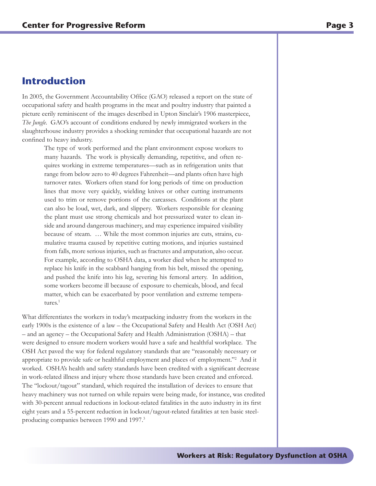## **Introduction**

In 2005, the Government Accountability Office (GAO) released a report on the state of occupational safety and health programs in the meat and poultry industry that painted a picture eerily reminiscent of the images described in Upton Sinclair's 1906 masterpiece, *The Jungle*. GAO's account of conditions endured by newly immigrated workers in the slaughterhouse industry provides a shocking reminder that occupational hazards are not confined to heavy industry.

The type of work performed and the plant environment expose workers to many hazards. The work is physically demanding, repetitive, and often requires working in extreme temperatures—such as in refrigeration units that range from below zero to 40 degrees Fahrenheit—and plants often have high turnover rates. Workers often stand for long periods of time on production lines that move very quickly, wielding knives or other cutting instruments used to trim or remove portions of the carcasses. Conditions at the plant can also be loud, wet, dark, and slippery. Workers responsible for cleaning the plant must use strong chemicals and hot pressurized water to clean inside and around dangerous machinery, and may experience impaired visibility because of steam. … While the most common injuries are cuts, strains, cumulative trauma caused by repetitive cutting motions, and injuries sustained from falls, more serious injuries, such as fractures and amputation, also occur. For example, according to OSHA data, a worker died when he attempted to replace his knife in the scabbard hanging from his belt, missed the opening, and pushed the knife into his leg, severing his femoral artery. In addition, some workers become ill because of exposure to chemicals, blood, and fecal matter, which can be exacerbated by poor ventilation and extreme temperatures.<sup>1</sup>

What differentiates the workers in today's meatpacking industry from the workers in the early 1900s is the existence of a law – the Occupational Safety and Health Act (OSH Act) – and an agency – the Occupational Safety and Health Administration (OSHA) – that were designed to ensure modern workers would have a safe and healthful workplace. The OSH Act paved the way for federal regulatory standards that are "reasonably necessary or appropriate to provide safe or healthful employment and places of employment."<sup>2</sup> And it worked. OSHA's health and safety standards have been credited with a significant decrease in work-related illness and injury where those standards have been created and enforced. The "lockout/tagout" standard, which required the installation of devices to ensure that heavy machinery was not turned on while repairs were being made, for instance, was credited with 30-percent annual reductions in lockout-related fatalities in the auto industry in its first eight years and a 55-percent reduction in lockout/tagout-related fatalities at ten basic steelproducing companies between 1990 and 1997.3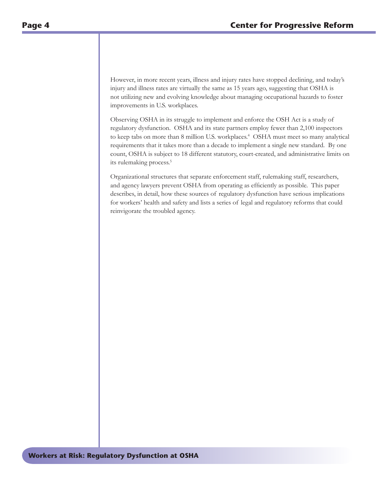However, in more recent years, illness and injury rates have stopped declining, and today's injury and illness rates are virtually the same as 15 years ago, suggesting that OSHA is not utilizing new and evolving knowledge about managing occupational hazards to foster improvements in U.S. workplaces.

Observing OSHA in its struggle to implement and enforce the OSH Act is a study of regulatory dysfunction. OSHA and its state partners employ fewer than 2,100 inspectors to keep tabs on more than 8 million U.S. workplaces.<sup>4</sup> OSHA must meet so many analytical requirements that it takes more than a decade to implement a single new standard. By one count, OSHA is subject to 18 different statutory, court-created, and administrative limits on its rulemaking process.<sup>5</sup>

Organizational structures that separate enforcement staff, rulemaking staff, researchers, and agency lawyers prevent OSHA from operating as efficiently as possible. This paper describes, in detail, how these sources of regulatory dysfunction have serious implications for workers' health and safety and lists a series of legal and regulatory reforms that could reinvigorate the troubled agency.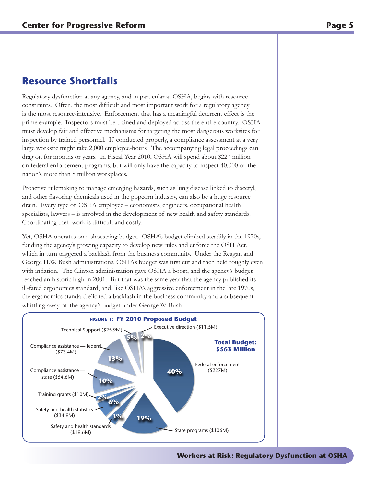## **Resource Shortfalls**

Regulatory dysfunction at any agency, and in particular at OSHA, begins with resource constraints. Often, the most difficult and most important work for a regulatory agency is the most resource-intensive. Enforcement that has a meaningful deterrent effect is the prime example. Inspectors must be trained and deployed across the entire country. OSHA must develop fair and effective mechanisms for targeting the most dangerous worksites for inspection by trained personnel. If conducted properly, a compliance assessment at a very large worksite might take 2,000 employee-hours. The accompanying legal proceedings can drag on for months or years. In Fiscal Year 2010, OSHA will spend about \$227 million on federal enforcement programs, but will only have the capacity to inspect 40,000 of the nation's more than 8 million workplaces.

Proactive rulemaking to manage emerging hazards, such as lung disease linked to diacetyl, and other flavoring chemicals used in the popcorn industry, can also be a huge resource drain. Every type of OSHA employee – economists, engineers, occupational health specialists, lawyers – is involved in the development of new health and safety standards. Coordinating their work is difficult and costly.

Yet, OSHA operates on a shoestring budget. OSHA's budget climbed steadily in the 1970s, funding the agency's growing capacity to develop new rules and enforce the OSH Act, which in turn triggered a backlash from the business community. Under the Reagan and George H.W. Bush administrations, OSHA's budget was first cut and then held roughly even with inflation. The Clinton administration gave OSHA a boost, and the agency's budget reached an historic high in 2001. But that was the same year that the agency published its ill-fated ergonomics standard, and, like OSHA's aggressive enforcement in the late 1970s, the ergonomics standard elicited a backlash in the business community and a subsequent whittling-away of the agency's budget under George W. Bush.

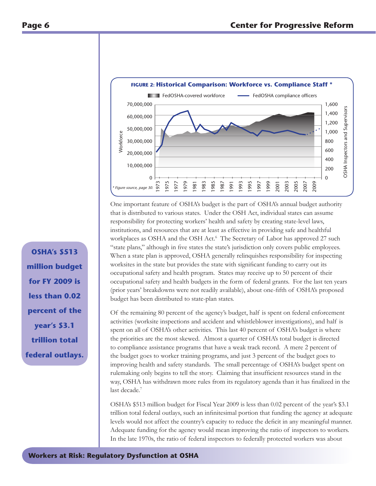

One important feature of OSHA's budget is the part of OSHA's annual budget authority that is distributed to various states. Under the OSH Act, individual states can assume responsibility for protecting workers' health and safety by creating state-level laws, institutions, and resources that are at least as effective in providing safe and healthful workplaces as OSHA and the OSH Act.<sup>6</sup> The Secretary of Labor has approved 27 such "state plans," although in five states the state's jurisdiction only covers public employees. When a state plan is approved, OSHA generally relinquishes responsibility for inspecting worksites in the state but provides the state with significant funding to carry out its occupational safety and health program. States may receive up to 50 percent of their occupational safety and health budgets in the form of federal grants. For the last ten years (prior years' breakdowns were not readily available), about one-fifth of OSHA's proposed budget has been distributed to state-plan states.

Of the remaining 80 percent of the agency's budget, half is spent on federal enforcement activities (worksite inspections and accident and whistleblower investigations), and half is spent on all of OSHA's other activities. This last 40 percent of OSHA's budget is where the priorities are the most skewed. Almost a quarter of OSHA's total budget is directed to compliance assistance programs that have a weak track record. A mere 2 percent of the budget goes to worker training programs, and just 3 percent of the budget goes to improving health and safety standards. The small percentage of OSHA's budget spent on rulemaking only begins to tell the story. Claiming that insufficient resources stand in the way, OSHA has withdrawn more rules from its regulatory agenda than it has finalized in the last decade.<sup>7</sup>

OSHA's \$513 million budget for Fiscal Year 2009 is less than 0.02 percent of the year's \$3.1 trillion total federal outlays, such an infinitesimal portion that funding the agency at adequate levels would not affect the country's capacity to reduce the deficit in any meaningful manner. Adequate funding for the agency would mean improving the ratio of inspectors to workers. In the late 1970s, the ratio of federal inspectors to federally protected workers was about

**OSHA's \$513 million budget for FY 2009 is less than 0.02 percent of the year's \$3.1 trillion total federal outlays.**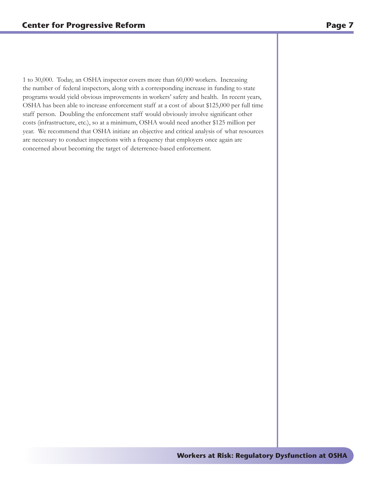1 to 30,000. Today, an OSHA inspector covers more than 60,000 workers. Increasing the number of federal inspectors, along with a corresponding increase in funding to state programs would yield obvious improvements in workers' safety and health. In recent years, OSHA has been able to increase enforcement staff at a cost of about \$125,000 per full time staff person. Doubling the enforcement staff would obviously involve significant other costs (infrastructure, etc.), so at a minimum, OSHA would need another \$125 million per year. We recommend that OSHA initiate an objective and critical analysis of what resources are necessary to conduct inspections with a frequency that employers once again are concerned about becoming the target of deterrence-based enforcement.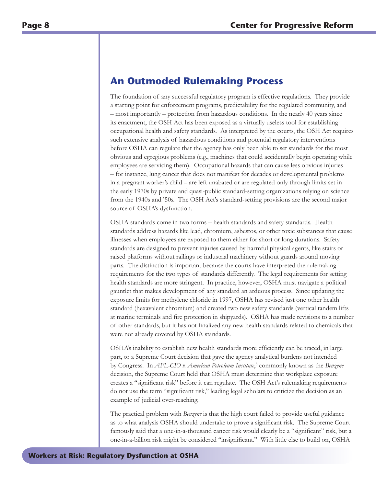## **An Outmoded Rulemaking Process**

The foundation of any successful regulatory program is effective regulations. They provide a starting point for enforcement programs, predictability for the regulated community, and – most importantly – protection from hazardous conditions. In the nearly 40 years since its enactment, the OSH Act has been exposed as a virtually useless tool for establishing occupational health and safety standards. As interpreted by the courts, the OSH Act requires such extensive analysis of hazardous conditions and potential regulatory interventions before OSHA can regulate that the agency has only been able to set standards for the most obvious and egregious problems (e.g., machines that could accidentally begin operating while employees are servicing them). Occupational hazards that can cause less obvious injuries – for instance, lung cancer that does not manifest for decades or developmental problems in a pregnant worker's child – are left unabated or are regulated only through limits set in the early 1970s by private and quasi-public standard-setting organizations relying on science from the 1940s and '50s. The OSH Act's standard-setting provisions are the second major source of OSHA's dysfunction.

OSHA standards come in two forms – health standards and safety standards. Health standards address hazards like lead, chromium, asbestos, or other toxic substances that cause illnesses when employees are exposed to them either for short or long durations. Safety standards are designed to prevent injuries caused by harmful physical agents, like stairs or raised platforms without railings or industrial machinery without guards around moving parts. The distinction is important because the courts have interpreted the rulemaking requirements for the two types of standards differently. The legal requirements for setting health standards are more stringent. In practice, however, OSHA must navigate a political gauntlet that makes development of any standard an arduous process. Since updating the exposure limits for methylene chloride in 1997, OSHA has revised just one other health standard (hexavalent chromium) and created two new safety standards (vertical tandem lifts at marine terminals and fire protection in shipyards). OSHA has made revisions to a number of other standards, but it has not finalized any new health standards related to chemicals that were not already covered by OSHA standards.

OSHA's inability to establish new health standards more efficiently can be traced, in large part, to a Supreme Court decision that gave the agency analytical burdens not intended by Congress. In *AFL-CIO v. American Petroleum Institute*, 8 commonly known as the *Benzene* decision, the Supreme Court held that OSHA must determine that workplace exposure creates a "significant risk" before it can regulate. The OSH Act's rulemaking requirements do not use the term "significant risk," leading legal scholars to criticize the decision as an example of judicial over-reaching.

The practical problem with *Benzene* is that the high court failed to provide useful guidance as to what analysis OSHA should undertake to prove a significant risk. The Supreme Court famously said that a one-in-a-thousand cancer risk would clearly be a "significant" risk, but a one-in-a-billion risk might be considered "insignificant." With little else to build on, OSHA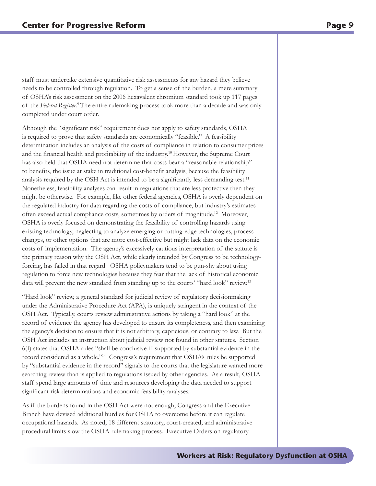staff must undertake extensive quantitative risk assessments for any hazard they believe needs to be controlled through regulation. To get a sense of the burden, a mere summary of OSHA's risk assessment on the 2006 hexavalent chromium standard took up 117 pages of the *Federal Register*. 9 The entire rulemaking process took more than a decade and was only completed under court order.

Although the "significant risk" requirement does not apply to safety standards, OSHA is required to prove that safety standards are economically "feasible." A feasibility determination includes an analysis of the costs of compliance in relation to consumer prices and the financial health and profitability of the industry.<sup>10</sup> However, the Supreme Court has also held that OSHA need not determine that costs bear a "reasonable relationship" to benefits, the issue at stake in traditional cost-benefit analysis, because the feasibility analysis required by the OSH Act is intended to be a significantly less demanding test.<sup>11</sup> Nonetheless, feasibility analyses can result in regulations that are less protective then they might be otherwise. For example, like other federal agencies, OSHA is overly dependent on the regulated industry for data regarding the costs of compliance, but industry's estimates often exceed actual compliance costs, sometimes by orders of magnitude.<sup>12</sup> Moreover, OSHA is overly focused on demonstrating the feasibility of controlling hazards using existing technology, neglecting to analyze emerging or cutting-edge technologies, process changes, or other options that are more cost-effective but might lack data on the economic costs of implementation. The agency's excessively cautious interpretation of the statute is the primary reason why the OSH Act, while clearly intended by Congress to be technologyforcing, has failed in that regard. OSHA policymakers tend to be gun-shy about using regulation to force new technologies because they fear that the lack of historical economic data will prevent the new standard from standing up to the courts' "hard look" review.<sup>13</sup>

"Hard look" review, a general standard for judicial review of regulatory decisionmaking under the Administrative Procedure Act (APA), is uniquely stringent in the context of the OSH Act. Typically, courts review administrative actions by taking a "hard look" at the record of evidence the agency has developed to ensure its completeness, and then examining the agency's decision to ensure that it is not arbitrary, capricious, or contrary to law. But the OSH Act includes an instruction about judicial review not found in other statutes. Section 6(f) states that OSHA rules "shall be conclusive if supported by substantial evidence in the record considered as a whole."14 Congress's requirement that OSHA's rules be supported by "substantial evidence in the record" signals to the courts that the legislature wanted more searching review than is applied to regulations issued by other agencies. As a result, OSHA staff spend large amounts of time and resources developing the data needed to support significant risk determinations and economic feasibility analyses.

As if the burdens found in the OSH Act were not enough, Congress and the Executive Branch have devised additional hurdles for OSHA to overcome before it can regulate occupational hazards. As noted, 18 different statutory, court-created, and administrative procedural limits slow the OSHA rulemaking process. Executive Orders on regulatory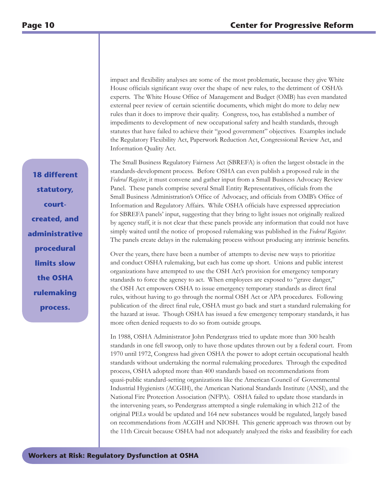impact and flexibility analyses are some of the most problematic, because they give White House officials significant sway over the shape of new rules, to the detriment of OSHA's experts. The White House Office of Management and Budget (OMB) has even mandated external peer review of certain scientific documents, which might do more to delay new rules than it does to improve their quality. Congress, too, has established a number of impediments to development of new occupational safety and health standards, through statutes that have failed to achieve their "good government" objectives. Examples include the Regulatory Flexibility Act, Paperwork Reduction Act, Congressional Review Act, and Information Quality Act.

The Small Business Regulatory Fairness Act (SBREFA) is often the largest obstacle in the standards-development process. Before OSHA can even publish a proposed rule in the *Federal Register*, it must convene and gather input from a Small Business Advocacy Review Panel. These panels comprise several Small Entity Representatives, officials from the Small Business Administration's Office of Advocacy, and officials from OMB's Office of Information and Regulatory Affairs. While OSHA officials have expressed appreciation for SBREFA panels' input, suggesting that they bring to light issues not originally realized by agency staff, it is not clear that these panels provide any information that could not have simply waited until the notice of proposed rulemaking was published in the *Federal Register*. The panels create delays in the rulemaking process without producing any intrinsic benefits.

Over the years, there have been a number of attempts to devise new ways to prioritize and conduct OSHA rulemaking, but each has come up short. Unions and public interest organizations have attempted to use the OSH Act's provision for emergency temporary standards to force the agency to act. When employees are exposed to "grave danger," the OSH Act empowers OSHA to issue emergency temporary standards as direct final rules, without having to go through the normal OSH Act or APA procedures. Following publication of the direct final rule, OSHA must go back and start a standard rulemaking for the hazard at issue. Though OSHA has issued a few emergency temporary standards, it has more often denied requests to do so from outside groups.

In 1988, OSHA Administrator John Pendergrass tried to update more than 300 health standards in one fell swoop, only to have those updates thrown out by a federal court. From 1970 until 1972, Congress had given OSHA the power to adopt certain occupational health standards without undertaking the normal rulemaking procedures. Through the expedited process, OSHA adopted more than 400 standards based on recommendations from quasi-public standard-setting organizations like the American Council of Governmental Industrial Hygienists (ACGIH), the American National Standards Institute (ANSI), and the National Fire Protection Association (NFPA). OSHA failed to update those standards in the intervening years, so Pendergrass attempted a single rulemaking in which 212 of the original PELs would be updated and 164 new substances would be regulated, largely based on recommendations from ACGIH and NIOSH. This generic approach was thrown out by the 11th Circuit because OSHA had not adequately analyzed the risks and feasibility for each

**18 different statutory, courtcreated, and administrative procedural limits slow the OSHA rulemaking process.**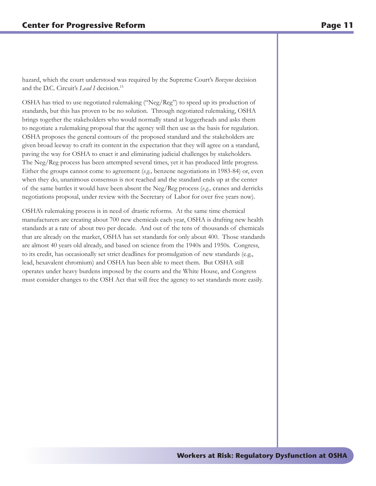hazard, which the court understood was required by the Supreme Court's *Benzene* decision and the D.C. Circuit's *Lead I* decision.<sup>15</sup>

OSHA has tried to use negotiated rulemaking ("Neg/Reg") to speed up its production of standards, but this has proven to be no solution. Through negotiated rulemaking, OSHA brings together the stakeholders who would normally stand at loggerheads and asks them to negotiate a rulemaking proposal that the agency will then use as the basis for regulation. OSHA proposes the general contours of the proposed standard and the stakeholders are given broad leeway to craft its content in the expectation that they will agree on a standard, paving the way for OSHA to enact it and eliminating judicial challenges by stakeholders. The Neg/Reg process has been attempted several times, yet it has produced little progress. Either the groups cannot come to agreement (*e.g.,* benzene negotiations in 1983-84) or, even when they do, unanimous consensus is not reached and the standard ends up at the center of the same battles it would have been absent the Neg/Reg process (*e.g.,* cranes and derricks negotiations proposal, under review with the Secretary of Labor for over five years now).

OSHA's rulemaking process is in need of drastic reforms. At the same time chemical manufacturers are creating about 700 new chemicals each year, OSHA is drafting new health standards at a rate of about two per decade. And out of the tens of thousands of chemicals that are already on the market, OSHA has set standards for only about 400. Those standards are almost 40 years old already, and based on science from the 1940s and 1950s. Congress, to its credit, has occasionally set strict deadlines for promulgation of new standards (e.g., lead, hexavalent chromium) and OSHA has been able to meet them. But OSHA still operates under heavy burdens imposed by the courts and the White House, and Congress must consider changes to the OSH Act that will free the agency to set standards more easily.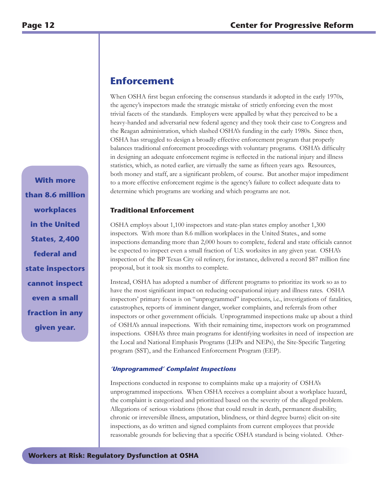## **Enforcement**

When OSHA first began enforcing the consensus standards it adopted in the early 1970s, the agency's inspectors made the strategic mistake of strictly enforcing even the most trivial facets of the standards. Employers were appalled by what they perceived to be a heavy-handed and adversarial new federal agency and they took their case to Congress and the Reagan administration, which slashed OSHA's funding in the early 1980s. Since then, OSHA has struggled to design a broadly effective enforcement program that properly balances traditional enforcement proceedings with voluntary programs. OSHA's difficulty in designing an adequate enforcement regime is reflected in the national injury and illness statistics, which, as noted earlier, are virtually the same as fifteen years ago. Resources, both money and staff, are a significant problem, of course. But another major impediment to a more effective enforcement regime is the agency's failure to collect adequate data to determine which programs are working and which programs are not.

#### **Traditional Enforcement**

OSHA employs about 1,100 inspectors and state-plan states employ another 1,300 inspectors. With more than 8.6 million workplaces in the United States., and some inspections demanding more than 2,000 hours to complete, federal and state officials cannot be expected to inspect even a small fraction of U.S. worksites in any given year. OSHA's inspection of the BP Texas City oil refinery, for instance, delivered a record \$87 million fine proposal, but it took six months to complete.

Instead, OSHA has adopted a number of different programs to prioritize its work so as to have the most significant impact on reducing occupational injury and illness rates. OSHA inspectors' primary focus is on "unprogrammed" inspections, i.e., investigations of fatalities, catastrophes, reports of imminent danger, worker complaints, and referrals from other inspectors or other government officials. Unprogrammed inspections make up about a third of OSHA's annual inspections. With their remaining time, inspectors work on programmed inspections. OSHA's three main programs for identifying worksites in need of inspection are the Local and National Emphasis Programs (LEPs and NEPs), the Site-Specific Targeting program (SST), and the Enhanced Enforcement Program (EEP).

#### **'Unprogrammed' Complaint Inspections**

Inspections conducted in response to complaints make up a majority of OSHA's unprogrammed inspections. When OSHA receives a complaint about a workplace hazard, the complaint is categorized and prioritized based on the severity of the alleged problem. Allegations of serious violations (those that could result in death, permanent disability, chronic or irreversible illness, amputation, blindness, or third degree burns) elicit on-site inspections, as do written and signed complaints from current employees that provide reasonable grounds for believing that a specific OSHA standard is being violated. Other-

**With more than 8.6 million workplaces in the United States, 2,400 federal and state inspectors cannot inspect even a small fraction in any given year.**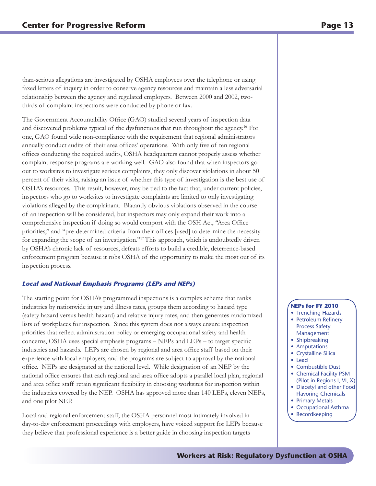than-serious allegations are investigated by OSHA employees over the telephone or using faxed letters of inquiry in order to conserve agency resources and maintain a less adversarial relationship between the agency and regulated employers. Between 2000 and 2002, twothirds of complaint inspections were conducted by phone or fax.

The Government Accountability Office (GAO) studied several years of inspection data and discovered problems typical of the dysfunctions that run throughout the agency.16 For one, GAO found wide non-compliance with the requirement that regional administrators annually conduct audits of their area offices' operations. With only five of ten regional offices conducting the required audits, OSHA headquarters cannot properly assess whether complaint response programs are working well. GAO also found that when inspectors go out to worksites to investigate serious complaints, they only discover violations in about 50 percent of their visits, raising an issue of whether this type of investigation is the best use of OSHA's resources. This result, however, may be tied to the fact that, under current policies, inspectors who go to worksites to investigate complaints are limited to only investigating violations alleged by the complainant. Blatantly obvious violations observed in the course of an inspection will be considered, but inspectors may only expand their work into a comprehensive inspection if doing so would comport with the OSH Act, "Area Office priorities," and "pre-determined criteria from their offices [used] to determine the necessity for expanding the scope of an investigation."17 This approach, which is undoubtedly driven by OSHA's chronic lack of resources, defeats efforts to build a credible, deterrence-based enforcement program because it robs OSHA of the opportunity to make the most out of its inspection process.

#### **Local and National Emphasis Programs (LEPs and NEPs)**

The starting point for OSHA's programmed inspections is a complex scheme that ranks industries by nationwide injury and illness rates, groups them according to hazard type (safety hazard versus health hazard) and relative injury rates, and then generates randomized lists of workplaces for inspection. Since this system does not always ensure inspection priorities that reflect administration policy or emerging occupational safety and health concerns, OSHA uses special emphasis programs – NEPs and LEPs – to target specific industries and hazards. LEPs are chosen by regional and area office staff based on their experience with local employers, and the programs are subject to approval by the national office. NEPs are designated at the national level. While designation of an NEP by the national office ensures that each regional and area office adopts a parallel local plan, regional and area office staff retain significant flexibility in choosing worksites for inspection within the industries covered by the NEP. OSHA has approved more than 140 LEPs, eleven NEPs, and one pilot NEP.

Local and regional enforcement staff, the OSHA personnel most intimately involved in day-to-day enforcement proceedings with employers, have voiced support for LEPs because they believe that professional experience is a better guide in choosing inspection targets

#### **NEPs for FY 2010**

- Trenching Hazards
- Petroleum Refinery Process Safety Management
- Shipbreaking
- Amputations
- Crystalline Silica
- • Lead
- Combustible Dust
- Chemical Facility PSM (Pilot in Regions I, VI, X)
- Diacetyl and other Food Flavoring Chemicals
- Primary Metals
- Occupational Asthma
- **Recordkeeping**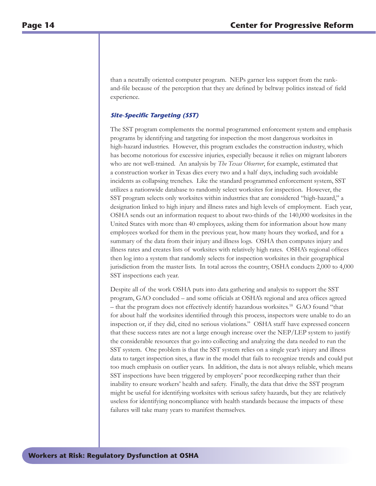than a neutrally oriented computer program. NEPs garner less support from the rankand-file because of the perception that they are defined by beltway politics instead of field experience.

#### **Site-Specific Targeting (SST)**

The SST program complements the normal programmed enforcement system and emphasis programs by identifying and targeting for inspection the most dangerous worksites in high-hazard industries. However, this program excludes the construction industry, which has become notorious for excessive injuries, especially because it relies on migrant laborers who are not well-trained. An analysis by *The Texas Observer*, for example, estimated that a construction worker in Texas dies every two and a half days, including such avoidable incidents as collapsing trenches. Like the standard programmed enforcement system, SST utilizes a nationwide database to randomly select worksites for inspection. However, the SST program selects only worksites within industries that are considered "high-hazard," a designation linked to high injury and illness rates and high levels of employment. Each year, OSHA sends out an information request to about two-thirds of the 140,000 worksites in the United States with more than 40 employees, asking them for information about how many employees worked for them in the previous year, how many hours they worked, and for a summary of the data from their injury and illness logs. OSHA then computes injury and illness rates and creates lists of worksites with relatively high rates. OSHA's regional offices then log into a system that randomly selects for inspection worksites in their geographical jurisdiction from the master lists. In total across the country, OSHA conducts 2,000 to 4,000 SST inspections each year.

Despite all of the work OSHA puts into data gathering and analysis to support the SST program, GAO concluded – and some officials at OSHA's regional and area offices agreed – that the program does not effectively identify hazardous worksites.18 GAO found "that for about half the worksites identified through this process, inspectors were unable to do an inspection or, if they did, cited no serious violations." OSHA staff have expressed concern that these success rates are not a large enough increase over the NEP/LEP system to justify the considerable resources that go into collecting and analyzing the data needed to run the SST system. One problem is that the SST system relies on a single year's injury and illness data to target inspection sites, a flaw in the model that fails to recognize trends and could put too much emphasis on outlier years. In addition, the data is not always reliable, which means SST inspections have been triggered by employers' poor recordkeeping rather than their inability to ensure workers' health and safety. Finally, the data that drive the SST program might be useful for identifying worksites with serious safety hazards, but they are relatively useless for identifying noncompliance with health standards because the impacts of these failures will take many years to manifest themselves.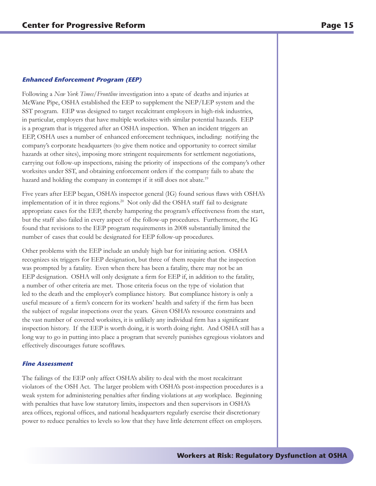#### **Enhanced Enforcement Program (EEP)**

Following a *New York Times/Frontline* investigation into a spate of deaths and injuries at McWane Pipe, OSHA established the EEP to supplement the NEP/LEP system and the SST program. EEP was designed to target recalcitrant employers in high-risk industries, in particular, employers that have multiple worksites with similar potential hazards. EEP is a program that is triggered after an OSHA inspection. When an incident triggers an EEP, OSHA uses a number of enhanced enforcement techniques, including: notifying the company's corporate headquarters (to give them notice and opportunity to correct similar hazards at other sites), imposing more stringent requirements for settlement negotiations, carrying out follow-up inspections, raising the priority of inspections of the company's other worksites under SST, and obtaining enforcement orders if the company fails to abate the hazard and holding the company in contempt if it still does not abate.<sup>19</sup>

Five years after EEP began, OSHA's inspector general (IG) found serious flaws with OSHA's implementation of it in three regions.<sup>20</sup> Not only did the OSHA staff fail to designate appropriate cases for the EEP, thereby hampering the program's effectiveness from the start, but the staff also failed in every aspect of the follow-up procedures. Furthermore, the IG found that revisions to the EEP program requirements in 2008 substantially limited the number of cases that could be designated for EEP follow-up procedures.

Other problems with the EEP include an unduly high bar for initiating action. OSHA recognizes six triggers for EEP designation, but three of them require that the inspection was prompted by a fatality. Even when there has been a fatality, there may not be an EEP designation. OSHA will only designate a firm for EEP if, in addition to the fatality, a number of other criteria are met. Those criteria focus on the type of violation that led to the death and the employer's compliance history. But compliance history is only a useful measure of a firm's concern for its workers' health and safety if the firm has been the subject of regular inspections over the years. Given OSHA's resource constraints and the vast number of covered worksites, it is unlikely any individual firm has a significant inspection history. If the EEP is worth doing, it is worth doing right. And OSHA still has a long way to go in putting into place a program that severely punishes egregious violators and effectively discourages future scofflaws.

#### **Fine Assessment**

The failings of the EEP only affect OSHA's ability to deal with the most recalcitrant violators of the OSH Act. The larger problem with OSHA's post-inspection procedures is a weak system for administering penalties after finding violations at *any* workplace. Beginning with penalties that have low statutory limits, inspectors and then supervisors in OSHA's area offices, regional offices, and national headquarters regularly exercise their discretionary power to reduce penalties to levels so low that they have little deterrent effect on employers.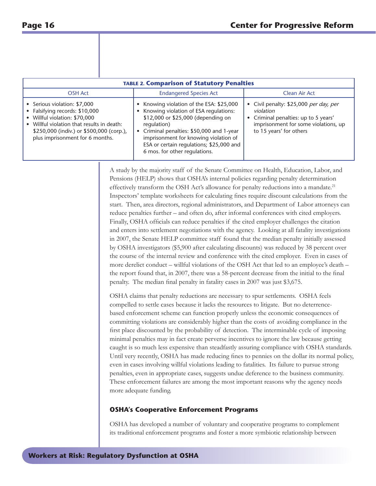| <b>TABLE 2. Comparison of Statutory Penalties</b>                                                                                                                                                                        |                                                                                                                                                                                                                                                                                                         |                                                                                                                                                                |  |  |  |
|--------------------------------------------------------------------------------------------------------------------------------------------------------------------------------------------------------------------------|---------------------------------------------------------------------------------------------------------------------------------------------------------------------------------------------------------------------------------------------------------------------------------------------------------|----------------------------------------------------------------------------------------------------------------------------------------------------------------|--|--|--|
| <b>OSH Act</b>                                                                                                                                                                                                           | <b>Endangered Species Act</b>                                                                                                                                                                                                                                                                           | Clean Air Act                                                                                                                                                  |  |  |  |
| • Serious violation: \$7,000<br>• Falsifying records: \$10,000<br>Willful violation: \$70,000<br>Willful violation that results in death:<br>\$250,000 (indiv.) or \$500,000 (corp.),<br>plus imprisonment for 6 months. | Knowing violation of the ESA: \$25,000<br>Knowing violation of ESA regulations:<br>\$12,000 or \$25,000 (depending on<br>regulation)<br>• Criminal penalties: \$50,000 and 1-year<br>imprisonment for knowing violation of<br>ESA or certain regulations; \$25,000 and<br>6 mos. for other regulations. | • Civil penalty: \$25,000 per day, per<br>violation<br>• Criminal penalties: up to 5 years'<br>imprisonment for some violations, up<br>to 15 years' for others |  |  |  |

A study by the majority staff of the Senate Committee on Health, Education, Labor, and Pensions (HELP) shows that OSHA's internal policies regarding penalty determination effectively transform the OSH Act's allowance for penalty reductions into a mandate.<sup>21</sup> Inspectors' template worksheets for calculating fines require discount calculations from the start. Then, area directors, regional administrators, and Department of Labor attorneys can reduce penalties further – and often do, after informal conferences with cited employers. Finally, OSHA officials can reduce penalties if the cited employer challenges the citation and enters into settlement negotiations with the agency. Looking at all fatality investigations in 2007, the Senate HELP committee staff found that the median penalty initially assessed by OSHA investigators (\$5,900 after calculating discounts) was reduced by 38 percent over the course of the internal review and conference with the cited employer. Even in cases of more derelict conduct – willful violations of the OSH Act that led to an employee's death – the report found that, in 2007, there was a 58-percent decrease from the initial to the final penalty. The median final penalty in fatality cases in 2007 was just \$3,675.

OSHA claims that penalty reductions are necessary to spur settlements. OSHA feels compelled to settle cases because it lacks the resources to litigate. But no deterrencebased enforcement scheme can function properly unless the economic consequences of committing violations are considerably higher than the costs of avoiding compliance in the first place discounted by the probability of detection. The interminable cycle of imposing minimal penalties may in fact create perverse incentives to ignore the law because getting caught is so much less expensive than steadfastly assuring compliance with OSHA standards. Until very recently, OSHA has made reducing fines to pennies on the dollar its normal policy, even in cases involving willful violations leading to fatalities. Its failure to pursue strong penalties, even in appropriate cases, suggests undue deference to the business community. These enforcement failures are among the most important reasons why the agency needs more adequate funding.

#### **OSHA's Cooperative Enforcement Programs**

OSHA has developed a number of voluntary and cooperative programs to complement its traditional enforcement programs and foster a more symbiotic relationship between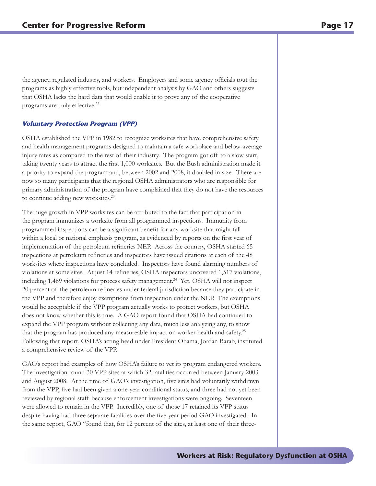the agency, regulated industry, and workers. Employers and some agency officials tout the programs as highly effective tools, but independent analysis by GAO and others suggests that OSHA lacks the hard data that would enable it to prove any of the cooperative programs are truly effective.<sup>22</sup>

#### **Voluntary Protection Program (VPP)**

OSHA established the VPP in 1982 to recognize worksites that have comprehensive safety and health management programs designed to maintain a safe workplace and below-average injury rates as compared to the rest of their industry. The program got off to a slow start, taking twenty years to attract the first 1,000 worksites. But the Bush administration made it a priority to expand the program and, between 2002 and 2008, it doubled in size. There are now so many participants that the regional OSHA administrators who are responsible for primary administration of the program have complained that they do not have the resources to continue adding new worksites.<sup>23</sup>

The huge growth in VPP worksites can be attributed to the fact that participation in the program immunizes a worksite from all programmed inspections. Immunity from programmed inspections can be a significant benefit for any worksite that might fall within a local or national emphasis program, as evidenced by reports on the first year of implementation of the petroleum refineries NEP. Across the country, OSHA started 65 inspections at petroleum refineries and inspectors have issued citations at each of the 48 worksites where inspections have concluded. Inspectors have found alarming numbers of violations at some sites. At just 14 refineries, OSHA inspectors uncovered 1,517 violations, including 1,489 violations for process safety management.<sup>24</sup> Yet, OSHA will not inspect 20 percent of the petroleum refineries under federal jurisdiction because they participate in the VPP and therefore enjoy exemptions from inspection under the NEP. The exemptions would be acceptable if the VPP program actually works to protect workers, but OSHA does not know whether this is true. A GAO report found that OSHA had continued to expand the VPP program without collecting any data, much less analyzing any, to show that the program has produced any measureable impact on worker health and safety.25 Following that report, OSHA's acting head under President Obama, Jordan Barab, instituted a comprehensive review of the VPP.

GAO's report had examples of how OSHA's failure to vet its program endangered workers. The investigation found 30 VPP sites at which 32 fatalities occurred between January 2003 and August 2008. At the time of GAO's investigation, five sites had voluntarily withdrawn from the VPP, five had been given a one-year conditional status, and three had not yet been reviewed by regional staff because enforcement investigations were ongoing. Seventeen were allowed to remain in the VPP. Incredibly, one of those 17 retained its VPP status despite having had three separate fatalities over the five-year period GAO investigated. In the same report, GAO "found that, for 12 percent of the sites, at least one of their three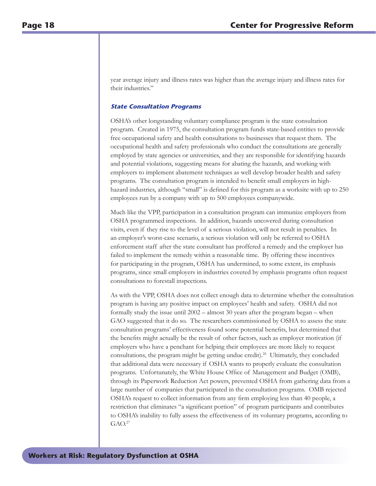year average injury and illness rates was higher than the average injury and illness rates for their industries."

#### **State Consultation Programs**

OSHA's other longstanding voluntary compliance program is the state consultation program. Created in 1975, the consultation program funds state-based entities to provide free occupational safety and health consultations to businesses that request them. The occupational health and safety professionals who conduct the consultations are generally employed by state agencies or universities, and they are responsible for identifying hazards and potential violations, suggesting means for abating the hazards, and working with employers to implement abatement techniques as well develop broader health and safety programs. The consultation program is intended to benefit small employers in highhazard industries, although "small" is defined for this program as a worksite with up to 250 employees run by a company with up to 500 employees companywide.

Much like the VPP, participation in a consultation program can immunize employers from OSHA programmed inspections. In addition, hazards uncovered during consultation visits, even if they rise to the level of a serious violation, will not result in penalties. In an employer's worst-case scenario, a serious violation will only be referred to OSHA enforcement staff after the state consultant has proffered a remedy and the employer has failed to implement the remedy within a reasonable time. By offering these incentives for participating in the program, OSHA has undermined, to some extent, its emphasis programs, since small employers in industries covered by emphasis programs often request consultations to forestall inspections.

As with the VPP, OSHA does not collect enough data to determine whether the consultation program is having any positive impact on employees' health and safety. OSHA did not formally study the issue until 2002 – almost 30 years after the program began – when GAO suggested that it do so. The researchers commissioned by OSHA to assess the state consultation programs' effectiveness found some potential benefits, but determined that the benefits might actually be the result of other factors, such as employer motivation (if employers who have a penchant for helping their employees are more likely to request consultations, the program might be getting undue credit).<sup>26</sup> Ultimately, they concluded that additional data were necessary if OSHA wants to properly evaluate the consultation programs. Unfortunately, the White House Office of Management and Budget (OMB), through its Paperwork Reduction Act powers, prevented OSHA from gathering data from a large number of companies that participated in the consultation programs. OMB rejected OSHA's request to collect information from any firm employing less than 40 people, a restriction that eliminates "a significant portion" of program participants and contributes to OSHA's inability to fully assess the effectiveness of its voluntary programs, according to  $GAO.<sup>27</sup>$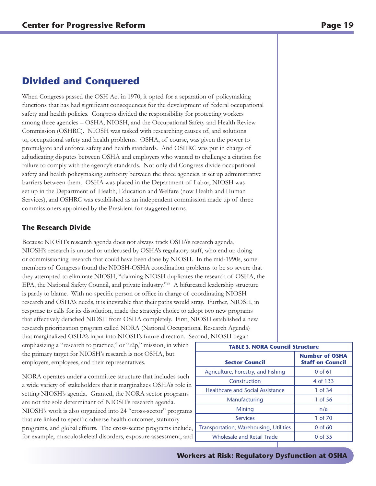## **Divided and Conquered**

When Congress passed the OSH Act in 1970, it opted for a separation of policymaking functions that has had significant consequences for the development of federal occupational safety and health policies. Congress divided the responsibility for protecting workers among three agencies – OSHA, NIOSH, and the Occupational Safety and Health Review Commission (OSHRC). NIOSH was tasked with researching causes of, and solutions to, occupational safety and health problems. OSHA, of course, was given the power to promulgate and enforce safety and health standards. And OSHRC was put in charge of adjudicating disputes between OSHA and employers who wanted to challenge a citation for failure to comply with the agency's standards. Not only did Congress divide occupational safety and health policymaking authority between the three agencies, it set up administrative barriers between them. OSHA was placed in the Department of Labor, NIOSH was set up in the Department of Health, Education and Welfare (now Health and Human Services), and OSHRC was established as an independent commission made up of three commissioners appointed by the President for staggered terms.

#### **The Research Divide**

Because NIOSH's research agenda does not always track OSHA's research agenda, NIOSH's research is unused or underused by OSHA's regulatory staff, who end up doing or commissioning research that could have been done by NIOSH. In the mid-1990s, some members of Congress found the NIOSH-OSHA coordination problems to be so severe that they attempted to eliminate NIOSH, "claiming NIOSH duplicates the research of OSHA, the EPA, the National Safety Council, and private industry."28 A bifurcated leadership structure is partly to blame. With no specific person or office in charge of coordinating NIOSH research and OSHA's needs, it is inevitable that their paths would stray. Further, NIOSH, in response to calls for its dissolution, made the strategic choice to adopt two new programs that effectively detached NIOSH from OSHA completely. First, NIOSH established a new research prioritization program called NORA (National Occupational Research Agenda) that marginalized OSHA's input into NIOSH's future direction. Second, NIOSH began

emphasizing a "research to practice," or "r2p," mission, in which the primary target for NIOSH's research is not OSHA, but employers, employees, and their representatives.

NORA operates under a committee structure that includes such a wide variety of stakeholders that it marginalizes OSHA's role in setting NIOSH's agenda. Granted, the NORA sector programs are not the sole determinant of NIOSH's research agenda. NIOSH's work is also organized into 24 "cross-sector" programs that are linked to specific adverse health outcomes, statutory programs, and global efforts. The cross-sector programs include, for example, musculoskeletal disorders, exposure assessment, and

| <b>TABLE 3. NORA Council Structure</b>  |                                                  |  |  |
|-----------------------------------------|--------------------------------------------------|--|--|
| <b>Sector Council</b>                   | <b>Number of OSHA</b><br><b>Staff on Council</b> |  |  |
| Agriculture, Forestry, and Fishing      | $0$ of $61$                                      |  |  |
| Construction                            | 4 of 133                                         |  |  |
| <b>Healthcare and Social Assistance</b> | 1 of 34                                          |  |  |
| Manufacturing                           | 1 of 56                                          |  |  |
| Mining                                  | n/a                                              |  |  |
| <b>Services</b>                         | 1 of 70                                          |  |  |
| Transportation, Warehousing, Utilities  | $0$ of 60                                        |  |  |
| <b>Wholesale and Retail Trade</b>       | 0 of 35                                          |  |  |

**Workers at Risk: Regulatory Dysfunction at OSHA**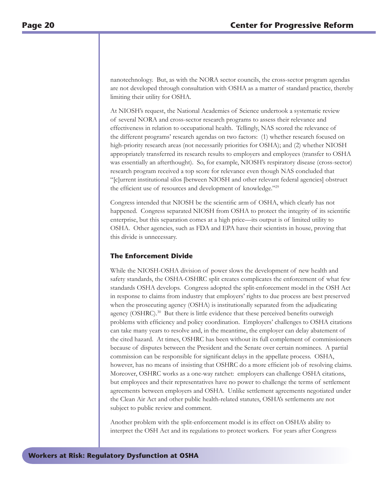nanotechnology. But, as with the NORA sector councils, the cross-sector program agendas are not developed through consultation with OSHA as a matter of standard practice, thereby limiting their utility for OSHA.

At NIOSH's request, the National Academies of Science undertook a systematic review of several NORA and cross-sector research programs to assess their relevance and effectiveness in relation to occupational health. Tellingly, NAS scored the relevance of the different programs' research agendas on two factors: (1) whether research focused on high-priority research areas (not necessarily priorities for OSHA); and (2) whether NIOSH appropriately transferred its research results to employers and employees (transfer to OSHA was essentially an afterthought). So, for example, NIOSH's respiratory disease (cross-sector) research program received a top score for relevance even though NAS concluded that "[c]urrent institutional silos [between NIOSH and other relevant federal agencies] obstruct the efficient use of resources and development of knowledge."29

Congress intended that NIOSH be the scientific arm of OSHA, which clearly has not happened. Congress separated NIOSH from OSHA to protect the integrity of its scientific enterprise, but this separation comes at a high price—its output is of limited utility to OSHA. Other agencies, such as FDA and EPA have their scientists in house, proving that this divide is unnecessary.

#### **The Enforcement Divide**

While the NIOSH-OSHA division of power slows the development of new health and safety standards, the OSHA-OSHRC split creates complicates the enforcement of what few standards OSHA develops. Congress adopted the split-enforcement model in the OSH Act in response to claims from industry that employers' rights to due process are best preserved when the prosecuting agency (OSHA) is institutionally separated from the adjudicating agency (OSHRC).<sup>30</sup> But there is little evidence that these perceived benefits outweigh problems with efficiency and policy coordination. Employers' challenges to OSHA citations can take many years to resolve and, in the meantime, the employer can delay abatement of the cited hazard. At times, OSHRC has been without its full complement of commissioners because of disputes between the President and the Senate over certain nominees. A partial commission can be responsible for significant delays in the appellate process. OSHA, however, has no means of insisting that OSHRC do a more efficient job of resolving claims. Moreover, OSHRC works as a one-way ratchet: employers can challenge OSHA citations, but employees and their representatives have no power to challenge the terms of settlement agreements between employers and OSHA. Unlike settlement agreements negotiated under the Clean Air Act and other public health-related statutes, OSHA's settlements are not subject to public review and comment.

Another problem with the split-enforcement model is its effect on OSHA's ability to interpret the OSH Act and its regulations to protect workers. For years after Congress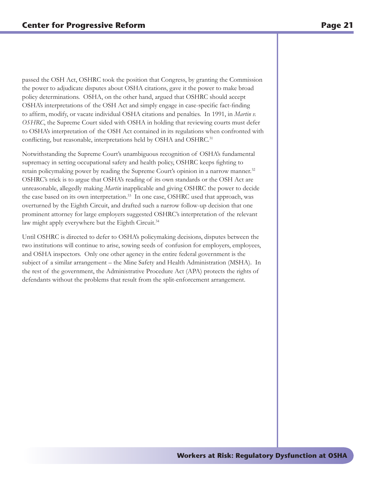passed the OSH Act, OSHRC took the position that Congress, by granting the Commission the power to adjudicate disputes about OSHA citations, gave it the power to make broad policy determinations. OSHA, on the other hand, argued that OSHRC should accept OSHA's interpretations of the OSH Act and simply engage in case-specific fact-finding to affirm, modify, or vacate individual OSHA citations and penalties. In 1991, in *Martin v. OSHRC*, the Supreme Court sided with OSHA in holding that reviewing courts must defer to OSHA's interpretation of the OSH Act contained in its regulations when confronted with conflicting, but reasonable, interpretations held by OSHA and OSHRC.<sup>31</sup>

Notwithstanding the Supreme Court's unambiguous recognition of OSHA's fundamental supremacy in setting occupational safety and health policy, OSHRC keeps fighting to retain policymaking power by reading the Supreme Court's opinion in a narrow manner.<sup>32</sup> OSHRC's trick is to argue that OSHA's reading of its own standards or the OSH Act are unreasonable, allegedly making *Martin* inapplicable and giving OSHRC the power to decide the case based on its own interpretation.<sup>33</sup> In one case, OSHRC used that approach, was overturned by the Eighth Circuit, and drafted such a narrow follow-up decision that one prominent attorney for large employers suggested OSHRC's interpretation of the relevant law might apply everywhere but the Eighth Circuit.<sup>34</sup>

Until OSHRC is directed to defer to OSHA's policymaking decisions, disputes between the two institutions will continue to arise, sowing seeds of confusion for employers, employees, and OSHA inspectors. Only one other agency in the entire federal government is the subject of a similar arrangement – the Mine Safety and Health Administration (MSHA). In the rest of the government, the Administrative Procedure Act (APA) protects the rights of defendants without the problems that result from the split-enforcement arrangement.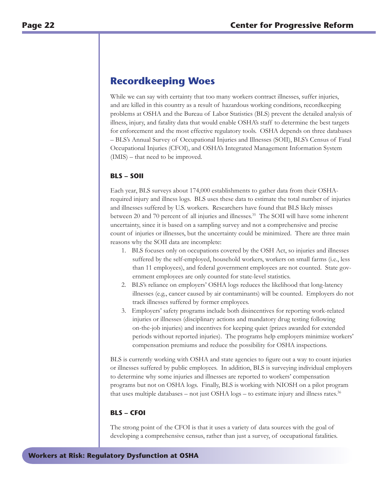## **Recordkeeping Woes**

While we can say with certainty that too many workers contract illnesses, suffer injuries, and are killed in this country as a result of hazardous working conditions, recordkeeping problems at OSHA and the Bureau of Labor Statistics (BLS) prevent the detailed analysis of illness, injury, and fatality data that would enable OSHA's staff to determine the best targets for enforcement and the most effective regulatory tools. OSHA depends on three databases – BLS's Annual Survey of Occupational Injuries and Illnesses (SOII), BLS's Census of Fatal Occupational Injuries (CFOI), and OSHA's Integrated Management Information System (IMIS) – that need to be improved.

#### **BLS – SOII**

Each year, BLS surveys about 174,000 establishments to gather data from their OSHArequired injury and illness logs. BLS uses these data to estimate the total number of injuries and illnesses suffered by U.S. workers. Researchers have found that BLS likely misses between 20 and 70 percent of all injuries and illnesses.<sup>35</sup> The SOII will have some inherent uncertainty, since it is based on a sampling survey and not a comprehensive and precise count of injuries or illnesses, but the uncertainty could be minimized. There are three main reasons why the SOII data are incomplete:

- 1. BLS focuses only on occupations covered by the OSH Act, so injuries and illnesses suffered by the self-employed, household workers, workers on small farms (i.e., less than 11 employees), and federal government employees are not counted. State government employees are only counted for state-level statistics.
- 2. BLS's reliance on employers' OSHA logs reduces the likelihood that long-latency illnesses (e.g., cancer caused by air contaminants) will be counted. Employers do not track illnesses suffered by former employees.
- 3. Employers' safety programs include both disincentives for reporting work-related injuries or illnesses (disciplinary actions and mandatory drug testing following on-the-job injuries) and incentives for keeping quiet (prizes awarded for extended periods without reported injuries). The programs help employers minimize workers' compensation premiums and reduce the possibility for OSHA inspections.

BLS is currently working with OSHA and state agencies to figure out a way to count injuries or illnesses suffered by public employees. In addition, BLS is surveying individual employers to determine why some injuries and illnesses are reported to workers' compensation programs but not on OSHA logs. Finally, BLS is working with NIOSH on a pilot program that uses multiple databases – not just OSHA logs – to estimate injury and illness rates.<sup>36</sup>

#### **BLS – CFOI**

The strong point of the CFOI is that it uses a variety of data sources with the goal of developing a comprehensive census, rather than just a survey, of occupational fatalities.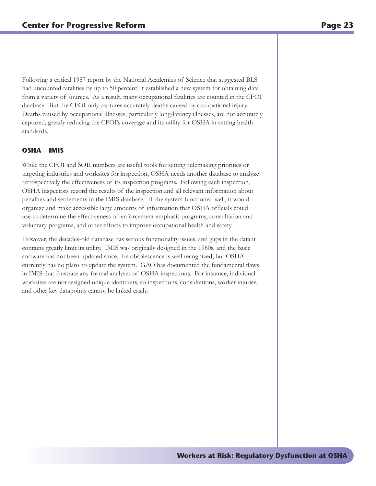Following a critical 1987 report by the National Academies of Science that suggested BLS had uncounted fatalities by up to 50 percent, it established a new system for obtaining data from a variety of sources. As a result, many occupational fatalities are counted in the CFOI database. But the CFOI only captures accurately deaths caused by occupational injury. Deaths caused by occupational illnesses, particularly long-latency illnesses, are not accurately captured, greatly reducing the CFOI's coverage and its utility for OSHA in setting health standards.

#### **OSHA – IMIS**

While the CFOI and SOII numbers are useful tools for setting rulemaking priorities or targeting industries and worksites for inspection, OSHA needs another database to analyze retrospectively the effectiveness of its inspection programs. Following each inspection, OSHA inspectors record the results of the inspection and all relevant information about penalties and settlements in the IMIS database. If the system functioned well, it would organize and make accessible large amounts of information that OSHA officials could use to determine the effectiveness of enforcement emphasis programs, consultation and voluntary programs, and other efforts to improve occupational health and safety.

However, the decades-old database has serious functionality issues, and gaps in the data it contains greatly limit its utility. IMIS was originally designed in the 1980s, and the basic software has not been updated since. Its obsolescence is well recognized, but OSHA currently has no plans to update the system. GAO has documented the fundamental flaws in IMIS that frustrate any formal analyses of OSHA inspections. For instance, individual worksites are not assigned unique identifiers, so inspections, consultations, worker injuries, and other key datapoints cannot be linked easily.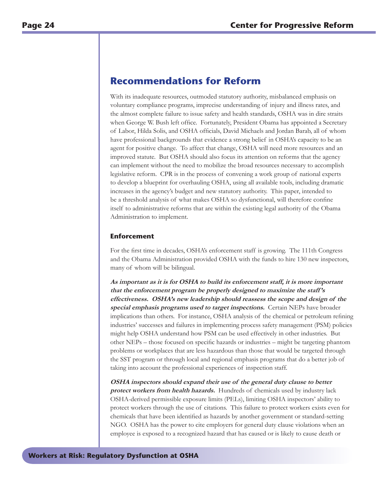## **Recommendations for Reform**

With its inadequate resources, outmoded statutory authority, misbalanced emphasis on voluntary compliance programs, imprecise understanding of injury and illness rates, and the almost complete failure to issue safety and health standards, OSHA was in dire straits when George W. Bush left office. Fortunately, President Obama has appointed a Secretary of Labor, Hilda Solis, and OSHA officials, David Michaels and Jordan Barab, all of whom have professional backgrounds that evidence a strong belief in OSHA's capacity to be an agent for positive change. To affect that change, OSHA will need more resources and an improved statute. But OSHA should also focus its attention on reforms that the agency can implement without the need to mobilize the broad resources necessary to accomplish legislative reform. CPR is in the process of convening a work group of national experts to develop a blueprint for overhauling OSHA, using all available tools, including dramatic increases in the agency's budget and new statutory authority. This paper, intended to be a threshold analysis of what makes OSHA so dysfunctional, will therefore confine itself to administrative reforms that are within the existing legal authority of the Obama Administration to implement.

#### **Enforcement**

For the first time in decades, OSHA's enforcement staff is growing. The 111th Congress and the Obama Administration provided OSHA with the funds to hire 130 new inspectors, many of whom will be bilingual.

**As important as it is for OSHA to build its enforcement staff, it is more important that the enforcement program be properly designed to maximize the staff 's effectiveness. OSHA's new leadership should reassess the scope and design of the special emphasis programs used to target inspections.** Certain NEPs have broader implications than others. For instance, OSHA analysis of the chemical or petroleum refining industries' successes and failures in implementing process safety management (PSM) policies might help OSHA understand how PSM can be used effectively in other industries. But other NEPs – those focused on specific hazards or industries – might be targeting phantom problems or workplaces that are less hazardous than those that would be targeted through the SST program or through local and regional emphasis programs that do a better job of taking into account the professional experiences of inspection staff.

**OSHA inspectors should expand their use of the general duty clause to better protect workers from health hazards.** Hundreds of chemicals used by industry lack OSHA-derived permissible exposure limits (PELs), limiting OSHA inspectors' ability to protect workers through the use of citations. This failure to protect workers exists even for chemicals that have been identified as hazards by another government or standard-setting NGO. OSHA has the power to cite employers for general duty clause violations when an employee is exposed to a recognized hazard that has caused or is likely to cause death or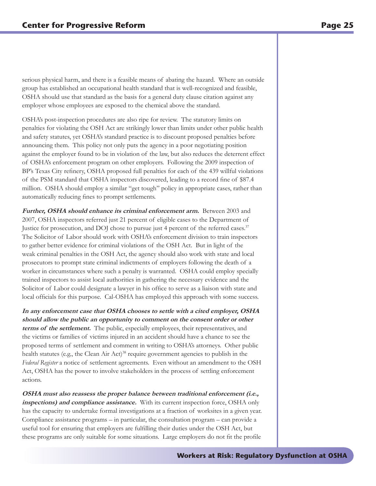serious physical harm, and there is a feasible means of abating the hazard. Where an outside group has established an occupational health standard that is well-recognized and feasible, OSHA should use that standard as the basis for a general duty clause citation against any employer whose employees are exposed to the chemical above the standard.

OSHA's post-inspection procedures are also ripe for review. The statutory limits on penalties for violating the OSH Act are strikingly lower than limits under other public health and safety statutes, yet OSHA's standard practice is to discount proposed penalties before announcing them. This policy not only puts the agency in a poor negotiating position against the employer found to be in violation of the law, but also reduces the deterrent effect of OSHA's enforcement program on other employers. Following the 2009 inspection of BP's Texas City refinery, OSHA proposed full penalties for each of the 439 willful violations of the PSM standard that OSHA inspectors discovered, leading to a record fine of \$87.4 million. OSHA should employ a similar "get tough" policy in appropriate cases, rather than automatically reducing fines to prompt settlements.

**Further, OSHA should enhance its criminal enforcement arm.** Between 2003 and 2007, OSHA inspectors referred just 21 percent of eligible cases to the Department of Justice for prosecution, and DOJ chose to pursue just 4 percent of the referred cases.37 The Solicitor of Labor should work with OSHA's enforcement division to train inspectors to gather better evidence for criminal violations of the OSH Act. But in light of the weak criminal penalties in the OSH Act, the agency should also work with state and local prosecutors to prompt state criminal indictments of employers following the death of a worker in circumstances where such a penalty is warranted. OSHA could employ specially trained inspectors to assist local authorities in gathering the necessary evidence and the Solicitor of Labor could designate a lawyer in his office to serve as a liaison with state and local officials for this purpose. Cal-OSHA has employed this approach with some success.

**In any enforcement case that OSHA chooses to settle with a cited employer, OSHA should allow the public an opportunity to comment on the consent order or other terms of the settlement.** The public, especially employees, their representatives, and the victims or families of victims injured in an accident should have a chance to see the proposed terms of settlement and comment in writing to OSHA's attorneys. Other public health statutes (e.g., the Clean Air Act)<sup>38</sup> require government agencies to publish in the *Federal Register* a notice of settlement agreements. Even without an amendment to the OSH Act, OSHA has the power to involve stakeholders in the process of settling enforcement actions.

**OSHA must also reassess the proper balance between traditional enforcement (i.e., inspections) and compliance assistance.** With its current inspection force, OSHA only has the capacity to undertake formal investigations at a fraction of worksites in a given year. Compliance assistance programs – in particular, the consultation program – can provide a useful tool for ensuring that employers are fulfilling their duties under the OSH Act, but these programs are only suitable for some situations. Large employers do not fit the profile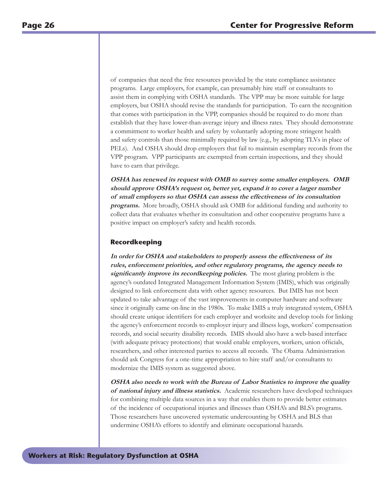of companies that need the free resources provided by the state compliance assistance programs. Large employers, for example, can presumably hire staff or consultants to assist them in complying with OSHA standards. The VPP may be more suitable for large employers, but OSHA should revise the standards for participation. To earn the recognition that comes with participation in the VPP, companies should be required to do more than establish that they have lower-than-average injury and illness rates. They should demonstrate a commitment to worker health and safety by voluntarily adopting more stringent health and safety controls than those minimally required by law (e.g., by adopting TLVs in place of PELs). And OSHA should drop employers that fail to maintain exemplary records from the VPP program. VPP participants are exempted from certain inspections, and they should have to earn that privilege.

**OSHA has renewed its request with OMB to survey some smaller employers. OMB should approve OSHA's request or, better yet, expand it to cover a larger number of small employers so that OSHA can assess the effectiveness of its consultation programs.** More broadly, OSHA should ask OMB for additional funding and authority to collect data that evaluates whether its consultation and other cooperative programs have a positive impact on employer's safety and health records.

#### **Recordkeeping**

**In order for OSHA and stakeholders to properly assess the effectiveness of its rules, enforcement priorities, and other regulatory programs, the agency needs to significantly improve its recordkeeping policies.** The most glaring problem is the agency's outdated Integrated Management Information System (IMIS), which was originally designed to link enforcement data with other agency resources. But IMIS has not been updated to take advantage of the vast improvements in computer hardware and software since it originally came on-line in the 1980s. To make IMIS a truly integrated system, OSHA should create unique identifiers for each employer and worksite and develop tools for linking the agency's enforcement records to employer injury and illness logs, workers' compensation records, and social security disability records. IMIS should also have a web-based interface (with adequate privacy protections) that would enable employers, workers, union officials, researchers, and other interested parties to access all records. The Obama Administration should ask Congress for a one-time appropriation to hire staff and/or consultants to modernize the IMIS system as suggested above.

**OSHA also needs to work with the Bureau of Labor Statistics to improve the quality of national injury and illness statistics.** Academic researchers have developed techniques for combining multiple data sources in a way that enables them to provide better estimates of the incidence of occupational injuries and illnesses than OSHA's and BLS's programs. Those researchers have uncovered systematic undercounting by OSHA and BLS that undermine OSHA's efforts to identify and eliminate occupational hazards.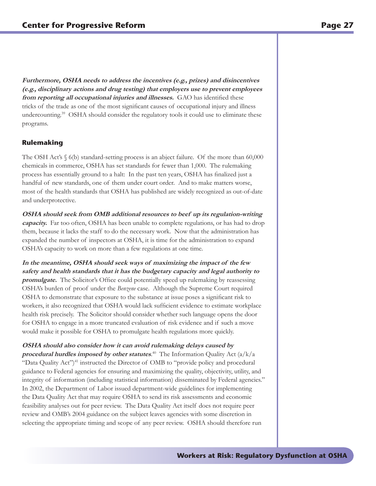**Furthermore, OSHA needs to address the incentives (e.g., prizes) and disincentives (e.g., disciplinary actions and drug testing) that employers use to prevent employees from reporting all occupational injuries and illnesses.** GAO has identified these tricks of the trade as one of the most significant causes of occupational injury and illness undercounting.<sup>39</sup> OSHA should consider the regulatory tools it could use to eliminate these programs.

#### **Rulemaking**

The OSH Act's  $\S$  6(b) standard-setting process is an abject failure. Of the more than 60,000 chemicals in commerce, OSHA has set standards for fewer than 1,000. The rulemaking process has essentially ground to a halt: In the past ten years, OSHA has finalized just a handful of new standards, one of them under court order. And to make matters worse, most of the health standards that OSHA has published are widely recognized as out-of-date and underprotective.

**OSHA should seek from OMB additional resources to beef up its regulation-writing capacity.** Far too often, OSHA has been unable to complete regulations, or has had to drop them, because it lacks the staff to do the necessary work. Now that the administration has expanded the number of inspectors at OSHA, it is time for the administration to expand OSHA's capacity to work on more than a few regulations at one time.

**In the meantime, OSHA should seek ways of maximizing the impact of the few safety and health standards that it has the budgetary capacity and legal authority to promulgate.** The Solicitor's Office could potentially speed up rulemaking by reassessing OSHA's burden of proof under the *Benzene* case. Although the Supreme Court required OSHA to demonstrate that exposure to the substance at issue poses a significant risk to workers, it also recognized that OSHA would lack sufficient evidence to estimate workplace health risk precisely. The Solicitor should consider whether such language opens the door for OSHA to engage in a more truncated evaluation of risk evidence and if such a move would make it possible for OSHA to promulgate health regulations more quickly.

**OSHA should also consider how it can avoid rulemaking delays caused by procedural hurdles imposed by other statutes**. 40 The Information Quality Act (a/k/a "Data Quality Act")<sup>41</sup> instructed the Director of OMB to "provide policy and procedural guidance to Federal agencies for ensuring and maximizing the quality, objectivity, utility, and integrity of information (including statistical information) disseminated by Federal agencies." In 2002, the Department of Labor issued department-wide guidelines for implementing the Data Quality Act that may require OSHA to send its risk assessments and economic feasibility analyses out for peer review. The Data Quality Act itself does not require peer review and OMB's 2004 guidance on the subject leaves agencies with some discretion in selecting the appropriate timing and scope of any peer review. OSHA should therefore run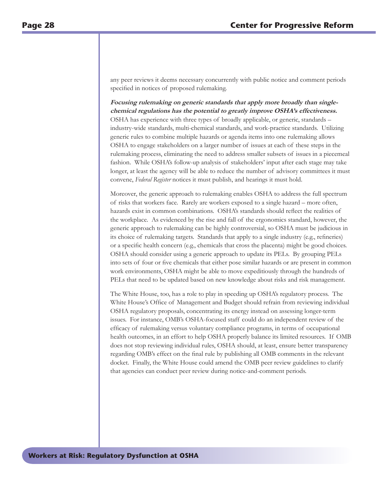any peer reviews it deems necessary concurrently with public notice and comment periods specified in notices of proposed rulemaking.

**Focusing rulemaking on generic standards that apply more broadly than singlechemical regulations has the potential to greatly improve OSHA's effectiveness.**  OSHA has experience with three types of broadly applicable, or generic, standards – industry-wide standards, multi-chemical standards, and work-practice standards. Utilizing generic rules to combine multiple hazards or agenda items into one rulemaking allows OSHA to engage stakeholders on a larger number of issues at each of these steps in the rulemaking process, eliminating the need to address smaller subsets of issues in a piecemeal fashion. While OSHA's follow-up analysis of stakeholders' input after each stage may take longer, at least the agency will be able to reduce the number of advisory committees it must convene, *Federal Register* notices it must publish, and hearings it must hold.

Moreover, the generic approach to rulemaking enables OSHA to address the full spectrum of risks that workers face. Rarely are workers exposed to a single hazard – more often, hazards exist in common combinations. OSHA's standards should reflect the realities of the workplace. As evidenced by the rise and fall of the ergonomics standard, however, the generic approach to rulemaking can be highly controversial, so OSHA must be judicious in its choice of rulemaking targets. Standards that apply to a single industry (e.g., refineries) or a specific health concern (e.g., chemicals that cross the placenta) might be good choices. OSHA should consider using a generic approach to update its PELs. By grouping PELs into sets of four or five chemicals that either pose similar hazards or are present in common work environments, OSHA might be able to move expeditiously through the hundreds of PELs that need to be updated based on new knowledge about risks and risk management.

The White House, too, has a role to play in speeding up OSHA's regulatory process. The White House's Office of Management and Budget should refrain from reviewing individual OSHA regulatory proposals, concentrating its energy instead on assessing longer-term issues. For instance, OMB's OSHA-focused staff could do an independent review of the efficacy of rulemaking versus voluntary compliance programs, in terms of occupational health outcomes, in an effort to help OSHA properly balance its limited resources. If OMB does not stop reviewing individual rules, OSHA should, at least, ensure better transparency regarding OMB's effect on the final rule by publishing all OMB comments in the relevant docket. Finally, the White House could amend the OMB peer review guidelines to clarify that agencies can conduct peer review during notice-and-comment periods.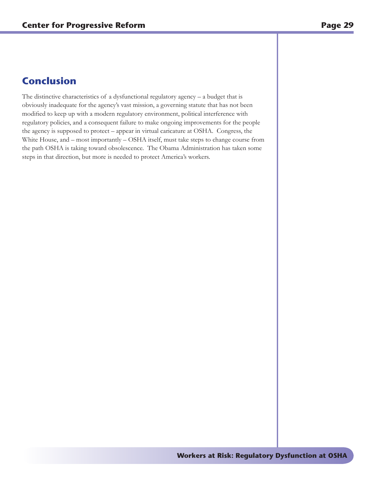## **Conclusion**

The distinctive characteristics of a dysfunctional regulatory agency – a budget that is obviously inadequate for the agency's vast mission, a governing statute that has not been modified to keep up with a modern regulatory environment, political interference with regulatory policies, and a consequent failure to make ongoing improvements for the people the agency is supposed to protect – appear in virtual caricature at OSHA. Congress, the White House, and – most importantly – OSHA itself, must take steps to change course from the path OSHA is taking toward obsolescence. The Obama Administration has taken some steps in that direction, but more is needed to protect America's workers.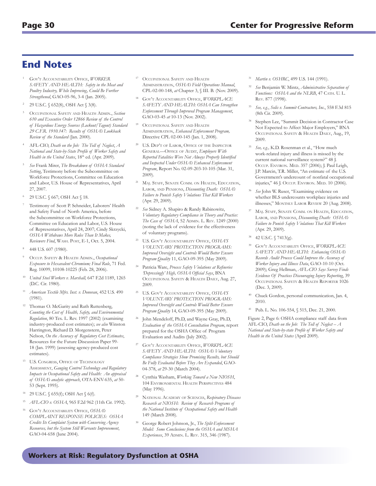## **End Notes**

- <sup>1</sup> Gov't Accountability Office, *WORKER SAFETY AND HEALTH: Safety in the Meat and Poultry Industry, While Improving, Could Be Further Strengthened*, GAO-05-96, 3-4 (Jan. 2005).
- <sup>2</sup> 29 U.S.C. § 652(8), OSH Act § 3(8).
- <sup>3</sup> Occupational Safety and Health Admin., *Section 610 and Executive Order 12866 Review of the Control of Hazardous Energy Sources (Lockout/Tagout) Standard 29 C.F.R. 1910.147: Results of OSHA's Lookback Review of the Standard* (Jan. 2000).
- <sup>4</sup> AFL-CIO, *Death on the Job: The Toll of Neglect*, *A National and State-by-State Profile of Worker Safety and Health in the United States*, 18<sup>th</sup> ed. (Apr. 2009).
- <sup>5</sup> *See* Frank Mirer, *The Breakdown of OSHA Standard Setting*, Testimony before the Subcommittee on Workforce Protections, Committee on Education and Labor, U.S. House of Representatives, April 27, 2007.
- 29 U.S.C. § 667; OSH Act § 18.
- <sup>7</sup> Testimony of Scott P. Schneider, Laborers' Health and Safety Fund of North America, before the Subcommittee on Workforce Protections, Committee on Education and Labor, U.S. House of Representatives, April 24, 2007; Cindy Skrzycki, *OSHA Withdraws More Rules Than It Makes, Reviewers Find*, Wash. Post, E-1, Oct. 5, 2004.
- <sup>8</sup> 448 U.S. 607 (1980).
- <sup>9</sup> Occup. Safety & Health Admin., *Occupational Exposure to Hexavalent Chromium; Final Rule*, 71 Fed. Reg. 10099, 10108-10225 (Feb. 28, 2006).
- <sup>10</sup> *United Steel Workers v. Marshall,* 647 F.2d 1189, 1265 (D.C. Cir. 1980).
- <sup>11</sup> *American Textile Mfrs. Inst. v. Donovan*, 452 U.S. 490 (1981).
- <sup>12</sup> Thomas O. McGarity and Ruth Ruttenberg, *Counting the Cost of Health, Safety, and Environmental Regulation*, 80 Tex. L. Rev. 1997 (2002) (examining industry-produced cost estimates); *see also* Winston Harrington, Richard D. Morgenstern, Peter Nelson, *On the Accuracy of Regulatory Cost Estimates*, Resources for the Future Discussion Paper 99- 18 (Jan. 1999) (assessing agency-produced cost estimates).
- U.S. CONGRESS, OFFICE OF TECHNOLOGY Assessment, *Gauging Control Technology and Regulatory Impacts in Occupational Safety and Health: An appraisal of OSHA's analytic approach*, OTA-ENV-635, *at* 50- 53 (Sept. 1995).
- 29 U.S.C. § 655(f); OSH Act § 6(f).
- <sup>15</sup> *AFL-CIO v. OSHA*, 965 F.2d 962 (11th Cir. 1992).
- <sup>16</sup> Gov't Accountability Office, *OSHA's COMPLAINT RESPONSE POLICIES: OSHA Credits Its Complaint System with Conserving Agency Resources, but the System Still Warrants Improvement*, GAO-04-658 (June 2004).
- OCCUPATIONAL SAFETY AND HEALTH ADMINISTRATION, OSHA's Field Operations Manual, CPL-02-00-148, *at* Chapter 3, § III. B. (Nov. 2009).
- <sup>18</sup> Gov't Accountability Office, *WORKPLACE SAFETY AND HEALTH: OSHA Can Strengthen Enforcement Through Improved Program Management*, GAO-03-45 *at* 10-13 (Nov. 2002).
- OCCUPATIONAL SAFETY AND HEALTH Administration, *Enhanced Enforcement Program,*  Directive CPL 02-00-145 (Jan. 1, 2008).
- <sup>20</sup> U.S. Dep't of Labor, Office of the Inspector GENERAL-OFFICE OF AUDIT, *Employers With Reported Fatalities Were Not Always Properly Identified and Inspected Under OSHA's Enhanced Enforcement Program*, Report No. 02-09-203-10-105 (Mar. 31, 2009).
- MAJ. STAFF, SENATE COMM. ON HEALTH, EDUCATION, Labor, and Pensions, *Discounting Death: OSHA's Failure to Punish Safety Violations That Kill Workers* (Apr. 29, 2009).
- <sup>22</sup> *See* Sidney A. Shapiro & Randy Rabinowitz, *Voluntary Regulatory Compliance in Theory and Practice: The Case of OSHA*, 52 ADMIN. L. REV. 1249 (2000) (noting the lack of evidence for the effectiveness of voluntary programs).
- <sup>23</sup> U.S. Gov't Accountability Office, *OSHA'S VOLUNTARY PROTECTION PROGRAMS: Improved Oversight and Controls Would Better Ensure Program Quality* 11, GAO-09-395 (May 2009).
- <sup>24</sup> Patricia Ware, *Process Safety Violations at Refineries 'Depressingly' High, OSHA Official Says*, BNA OCCUPATIONAL SAFETY & HEALTH DAILY, Aug. 27, 2009.
- <sup>25</sup> U.S. Gov't Accountability Office, *OSHA'S VOLUNTARY PROTECTION PROGRAMS: Improved Oversight and Controls Would Better Ensure Program Quality* 14, GAO-09-395 (May 2009).
- <sup>26</sup> John Mendeloff, Ph.D, and Wayne Gray, Ph.D, *Evaluation of the OSHA Consultation Program*, report prepared for the OSHA Office of Program Evaluation and Audits (July 2002).
- <sup>27</sup> Gov't Accountability Office, *WORKPLACE SAFETY AND HEALTH: OSHA's Voluntary Compliance Strategies Show Promising Results, but Should Be Fully Evaluated Before They Are Expanded*, GAO-04-378, *at* 29-30 (March 2004).
- <sup>28</sup> Cynthia Washam, *Working Toward a New NIOSH*, 104 Environmental Health Perspectives 484 (May 1996).
- <sup>29</sup> National Academy of Sciences, *Respiratory Diseases Research at NIOSH: Review of Research Programs of the National Institute of Occupational Safety and Health*  149 (March 2008).
- <sup>30</sup> George Robert Johnson, Jr., *The Split-Enforcement Model: Some Conclusions from the OSHA and MSHA Experiences*, 39 ADMIN. L. REV. 315, 346 (1987).
- <sup>31</sup> *Martin v. OSHRC*, 499 U.S. 144 (1991).
- <sup>32</sup> *See* Benjamin W. Mintz, *Administrative Separation of*  Functions: OSHA and the NLRB, 47 CATH. U.L. Rev. 877 (1998).
- <sup>33</sup> *See, e.g.*, *Solis v. Summit Contractors, Inc.*, 558 F.3d 815 (8th Cir. 2009).
- Stephen Lee, "Summit Decision in Contractor Case Not Expected to Affect Major Employers," BNA OCCUPATIONAL SAFETY & HEALTH DAILY, Aug., 19, 2009.
- <sup>35</sup> *See, e.g.,* K.D. Rosenman et al., "How much work-related injury and illness is missed by the current national surveillance system?" 48 J. Occup. ENVIRON. MED. 357 (2006); J. Paul Leigh, J.P. Marcin, T.R. Miller, "An estimate of the U.S. Government's undercount of nonfatal occupational injuries," 46 J. Occup. Environ. Med. 10 (2006).
- <sup>36</sup> *See* John W. Ruser, "Examining evidence on whether BLS undercounts workplace injuries and illnesses," Monthly Labor Review 20 (Aug. 2008).
- <sup>37</sup> MAJ. STAFF, SENATE COMM. ON HEALTH, EDUCATION, Labor, and Pensions, *Discounting Death: OSHA's Failure to Punish Safety Violations That Kill Workers* (Apr. 29, 2009).
- <sup>38</sup> 42 U.S.C. § 7413(g).
- <sup>39</sup> Gov't Accountability Office, *WORKPLACE SAFETY AND HEALTH: Enhancing OSHA's Records Audit Process Could Improve the Accuracy of Worker Injury and Illness Data*, GAO-10-10 (Oct. 2009); Greg Hellman, *AFL-CIO Says Survey Finds Evidence Of Practices Discouraging Injury Reporting*, 39 Occupational Safety & Health Reporter 1026 (Dec. 3, 2009).
- Chuck Gordon, personal communication, Jan. 4, 2010.
- <sup>41</sup> Pub. L. No. 106-554, § 515, Dec. 21, 2000.

Figure 2, Page 6: OSHA compliance staff data from AFL-CIO, *Death on the Job: The Toll of Neglect – A National and State-by-state Profile of Worker Safety and Health in the United States* (April 2009).

#### **Workers at Risk: Regulatory Dysfunction at OSHA**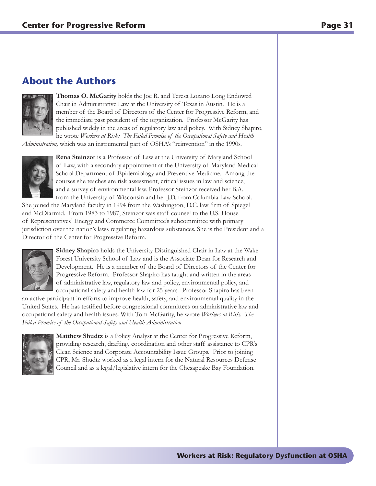## **About the Authors**



**Thomas O. McGarity** holds the Joe R. and Teresa Lozano Long Endowed Chair in Administrative Law at the University of Texas in Austin. He is a member of the Board of Directors of the Center for Progressive Reform, and the immediate past president of the organization. Professor McGarity has published widely in the areas of regulatory law and policy. With Sidney Shapiro, he wrote *Workers at Risk: The Failed Promise of the Occupational Safety and Health* 

*Administration,* which was an instrumental part of OSHA's "reinvention" in the 1990s.



**Rena Steinzor** is a Professor of Law at the University of Maryland School of Law, with a secondary appointment at the University of Maryland Medical School Department of Epidemiology and Preventive Medicine. Among the courses she teaches are risk assessment, critical issues in law and science, and a survey of environmental law. Professor Steinzor received her B.A. from the University of Wisconsin and her J.D. from Columbia Law School.

She joined the Maryland faculty in 1994 from the Washington, D.C. law firm of Spiegel and McDiarmid. From 1983 to 1987, Steinzor was staff counsel to the U.S. House of Representatives' Energy and Commerce Committee's subcommittee with primary jurisdiction over the nation's laws regulating hazardous substances. She is the President and a Director of the Center for Progressive Reform.



**Sidney Shapiro** holds the University Distinguished Chair in Law at the Wake Forest University School of Law and is the Associate Dean for Research and Development. He is a member of the Board of Directors of the Center for Progressive Reform. Professor Shapiro has taught and written in the areas of administrative law, regulatory law and policy, environmental policy, and occupational safety and health law for 25 years. Professor Shapiro has been

an active participant in efforts to improve health, safety, and environmental quality in the United States. He has testified before congressional committees on administrative law and occupational safety and health issues. With Tom McGarity, he wrote *Workers at Risk: The Failed Promise of the Occupational Safety and Health Administration*.



**Matthew Shudtz** is a Policy Analyst at the Center for Progressive Reform, providing research, drafting, coordination and other staff assistance to CPR's Clean Science and Corporate Accountability Issue Groups. Prior to joining CPR, Mr. Shudtz worked as a legal intern for the Natural Resources Defense Council and as a legal/legislative intern for the Chesapeake Bay Foundation.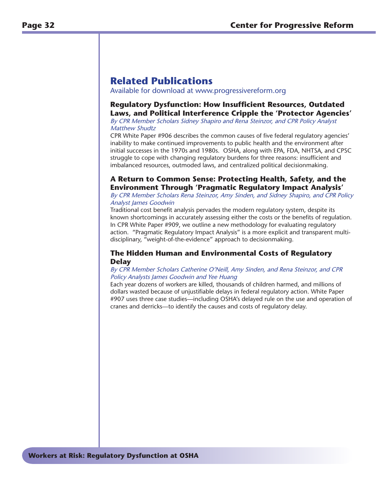## **Related Publications**

Available for download at www.progressivereform.org

#### **Regulatory Dysfunction: How Insufficient Resources, Outdated Laws, and Political Interference Cripple the 'Protector Agencies'**

By CPR Member Scholars Sidney Shapiro and Rena Steinzor, and CPR Policy Analyst Matthew Shudtz

CPR White Paper #906 describes the common causes of five federal regulatory agencies' inability to make continued improvements to public health and the environment after initial successes in the 1970s and 1980s. OSHA, along with EPA, FDA, NHTSA, and CPSC struggle to cope with changing regulatory burdens for three reasons: insufficient and imbalanced resources, outmoded laws, and centralized political decisionmaking.

### **A Return to Common Sense: Protecting Health, Safety, and the Environment Through 'Pragmatic Regulatory Impact Analysis'**

#### By CPR Member Scholars Rena Steinzor, Amy Sinden, and Sidney Shapiro, and CPR Policy Analyst James Goodwin

Traditional cost benefit analysis pervades the modern regulatory system, despite its known shortcomings in accurately assessing either the costs or the benefits of regulation. In CPR White Paper #909, we outline a new methodology for evaluating regulatory action. "Pragmatic Regulatory Impact Analysis" is a more explicit and transparent multidisciplinary, "weight-of-the-evidence" approach to decisionmaking.

#### **The Hidden Human and Environmental Costs of Regulatory Delay**

#### By CPR Member Scholars Catherine O'Neill, Amy Sinden, and Rena Steinzor, and CPR Policy Analysts James Goodwin and Yee Huang

Each year dozens of workers are killed, thousands of children harmed, and millions of dollars wasted because of unjustifiable delays in federal regulatory action. White Paper #907 uses three case studies—including OSHA's delayed rule on the use and operation of cranes and derricks—to identify the causes and costs of regulatory delay.